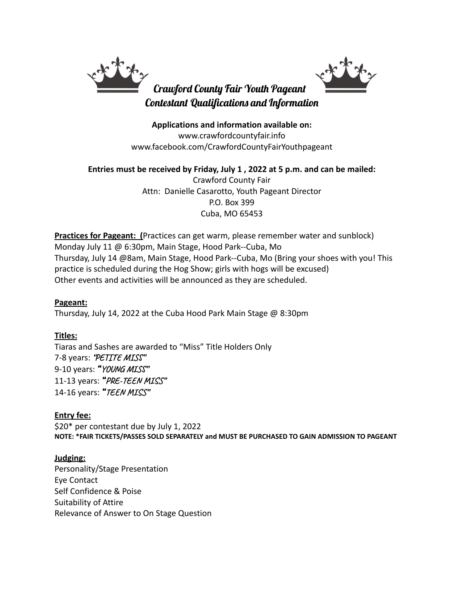

**Applications and information available on:** www.crawfordcountyfair.info www.facebook.com/CrawfordCountyFairYouthpageant

**Entries must be received by Friday, July 1 , 2022 at 5 p.m. and can be mailed:** Crawford County Fair Attn: Danielle Casarotto, Youth Pageant Director P.O. Box 399 Cuba, MO 65453

**Practices for Pageant: (**Practices can get warm, please remember water and sunblock) Monday July 11 @ 6:30pm, Main Stage, Hood Park--Cuba, Mo Thursday, July 14 @8am, Main Stage, Hood Park--Cuba, Mo (Bring your shoes with you! This practice is scheduled during the Hog Show; girls with hogs will be excused) Other events and activities will be announced as they are scheduled.

### **Pageant:**

Thursday, July 14, 2022 at the Cuba Hood Park Main Stage @ 8:30pm

### **Titles:**

Tiaras and Sashes are awarded to "Miss" Title Holders Only 7-8 years: **"PETITE MISS"** 9-10 years: "**YOUNG MISS"** 11-13 years: "**PRE-TEEN MISS"** 14-16 years: "**TEEN MISS"**

### **Entry fee:**

\$20\* per contestant due by July 1, 2022 **NOTE: \*FAIR TICKETS/PASSES SOLD SEPARATELY and MUST BE PURCHASED TO GAIN ADMISSION TO PAGEANT**

## **Judging:**

Personality/Stage Presentation Eye Contact Self Confidence & Poise Suitability of Attire Relevance of Answer to On Stage Question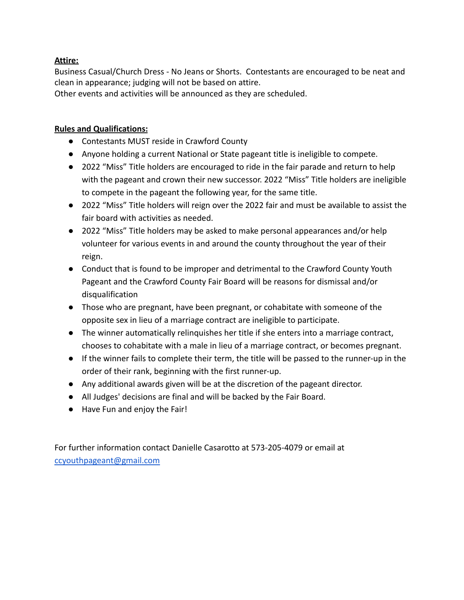## **Attire:**

Business Casual/Church Dress - No Jeans or Shorts. Contestants are encouraged to be neat and clean in appearance; judging will not be based on attire.

Other events and activities will be announced as they are scheduled.

## **Rules and Qualifications:**

- Contestants MUST reside in Crawford County
- Anyone holding a current National or State pageant title is ineligible to compete.
- 2022 "Miss" Title holders are encouraged to ride in the fair parade and return to help with the pageant and crown their new successor. 2022 "Miss" Title holders are ineligible to compete in the pageant the following year, for the same title.
- 2022 "Miss" Title holders will reign over the 2022 fair and must be available to assist the fair board with activities as needed.
- 2022 "Miss" Title holders may be asked to make personal appearances and/or help volunteer for various events in and around the county throughout the year of their reign.
- Conduct that is found to be improper and detrimental to the Crawford County Youth Pageant and the Crawford County Fair Board will be reasons for dismissal and/or disqualification
- Those who are pregnant, have been pregnant, or cohabitate with someone of the opposite sex in lieu of a marriage contract are ineligible to participate.
- The winner automatically relinquishes her title if she enters into a marriage contract, chooses to cohabitate with a male in lieu of a marriage contract, or becomes pregnant.
- If the winner fails to complete their term, the title will be passed to the runner-up in the order of their rank, beginning with the first runner-up.
- Any additional awards given will be at the discretion of the pageant director.
- All Judges' decisions are final and will be backed by the Fair Board.
- Have Fun and enjoy the Fair!

For further information contact Danielle Casarotto at 573-205-4079 or email at [ccyouthpageant@gmail.com](mailto:ccyouthpageant@gmail.com)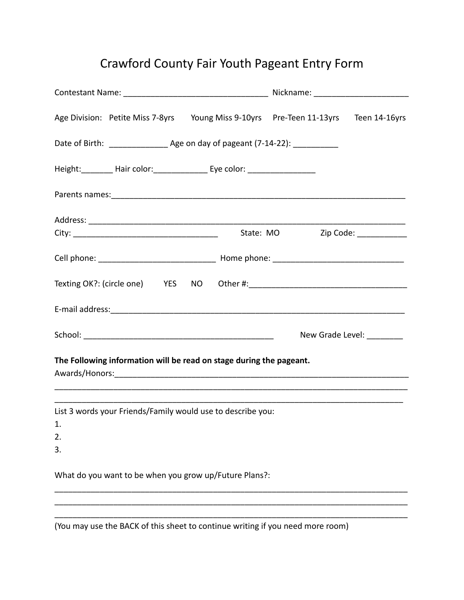# Crawford County Fair Youth Pageant Entry Form

|          |                                                                                  | Age Division: Petite Miss 7-8yrs Young Miss 9-10yrs Pre-Teen 11-13yrs Teen 14-16yrs |                                 |                           |  |
|----------|----------------------------------------------------------------------------------|-------------------------------------------------------------------------------------|---------------------------------|---------------------------|--|
|          | Date of Birth: ___________________ Age on day of pageant (7-14-22): ____________ |                                                                                     |                                 |                           |  |
|          |                                                                                  | Height: ________ Hair color: ________________ Eye color: _______________________    |                                 |                           |  |
|          |                                                                                  |                                                                                     |                                 |                           |  |
|          |                                                                                  |                                                                                     |                                 |                           |  |
|          |                                                                                  |                                                                                     | State: MO Zip Code: ___________ |                           |  |
|          |                                                                                  |                                                                                     |                                 |                           |  |
|          |                                                                                  |                                                                                     |                                 |                           |  |
|          |                                                                                  |                                                                                     |                                 |                           |  |
|          |                                                                                  |                                                                                     |                                 | New Grade Level: ________ |  |
|          |                                                                                  | The Following information will be read on stage during the pageant.                 |                                 |                           |  |
|          |                                                                                  | List 3 words your Friends/Family would use to describe you:                         |                                 |                           |  |
| 1.       |                                                                                  |                                                                                     |                                 |                           |  |
| 2.<br>3. |                                                                                  |                                                                                     |                                 |                           |  |
|          |                                                                                  | What do you want to be when you grow up/Future Plans?:                              |                                 |                           |  |
|          |                                                                                  |                                                                                     |                                 |                           |  |

(You may use the BACK of this sheet to continue writing if you need more room)